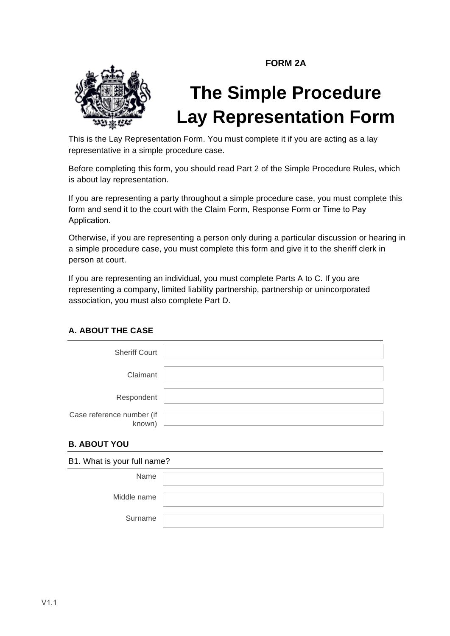**FORM 2A**



# **The Simple Procedure Lay Representation Form**

This is the Lay Representation Form. You must complete it if you are acting as a lay representative in a simple procedure case.

Before completing this form, you should read Part 2 of the Simple Procedure Rules, which is about lay representation.

If you are representing a party throughout a simple procedure case, you must complete this form and send it to the court with the Claim Form, Response Form or Time to Pay Application.

Otherwise, if you are representing a person only during a particular discussion or hearing in a simple procedure case, you must complete this form and give it to the sheriff clerk in person at court.

If you are representing an individual, you must complete Parts A to C. If you are representing a company, limited liability partnership, partnership or unincorporated association, you must also complete Part D.

### **A. ABOUT THE CASE**

| <b>Sheriff Court</b>                |  |
|-------------------------------------|--|
| Claimant                            |  |
| Respondent                          |  |
| Case reference number (if<br>known) |  |

### **B. ABOUT YOU**

| B1. What is your full name? |  |  |  |
|-----------------------------|--|--|--|
| Name                        |  |  |  |
| Middle name                 |  |  |  |
| Surname                     |  |  |  |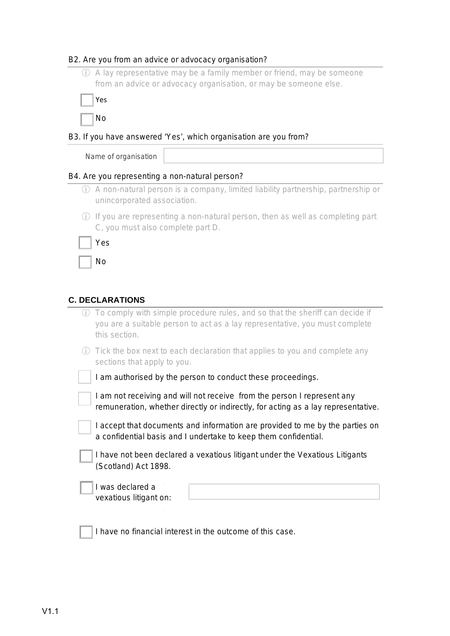## B2. Are you from an advice or advocacy organisation?

| (i)                    | A lay representative may be a family member or friend, may be someone<br>from an advice or advocacy organisation, or may be someone else.                                    |  |  |  |  |
|------------------------|------------------------------------------------------------------------------------------------------------------------------------------------------------------------------|--|--|--|--|
|                        | Yes                                                                                                                                                                          |  |  |  |  |
|                        | No                                                                                                                                                                           |  |  |  |  |
|                        | B3. If you have answered 'Yes', which organisation are you from?                                                                                                             |  |  |  |  |
|                        | Name of organisation                                                                                                                                                         |  |  |  |  |
|                        | B4. Are you representing a non-natural person?                                                                                                                               |  |  |  |  |
|                        | 1) A non-natural person is a company, limited liability partnership, partnership or<br>unincorporated association.                                                           |  |  |  |  |
| (i)                    | If you are representing a non-natural person, then as well as completing part<br>C, you must also complete part D.                                                           |  |  |  |  |
|                        | Yes                                                                                                                                                                          |  |  |  |  |
|                        | No                                                                                                                                                                           |  |  |  |  |
|                        |                                                                                                                                                                              |  |  |  |  |
| <b>C. DECLARATIONS</b> |                                                                                                                                                                              |  |  |  |  |
| (i)                    | To comply with simple procedure rules, and so that the sheriff can decide if<br>you are a suitable person to act as a lay representative, you must complete<br>this section. |  |  |  |  |
| (i)                    | Tick the box next to each declaration that applies to you and complete any<br>sections that apply to you.                                                                    |  |  |  |  |
|                        | I am authorised by the person to conduct these proceedings.                                                                                                                  |  |  |  |  |
|                        | I am not receiving and will not receive from the person I represent any<br>remuneration, whether directly or indirectly, for acting as a lay representative.                 |  |  |  |  |
|                        | I accept that documents and information are provided to me by the parties on<br>a confidential basis and I undertake to keep them confidential.                              |  |  |  |  |
|                        | I have not been declared a vexatious litigant under the Vexatious Litigants<br>(Scotland) Act 1898.                                                                          |  |  |  |  |
|                        | I was declared a<br>vexatious litigant on:                                                                                                                                   |  |  |  |  |
|                        | I have no financial interest in the outcome of this case.                                                                                                                    |  |  |  |  |